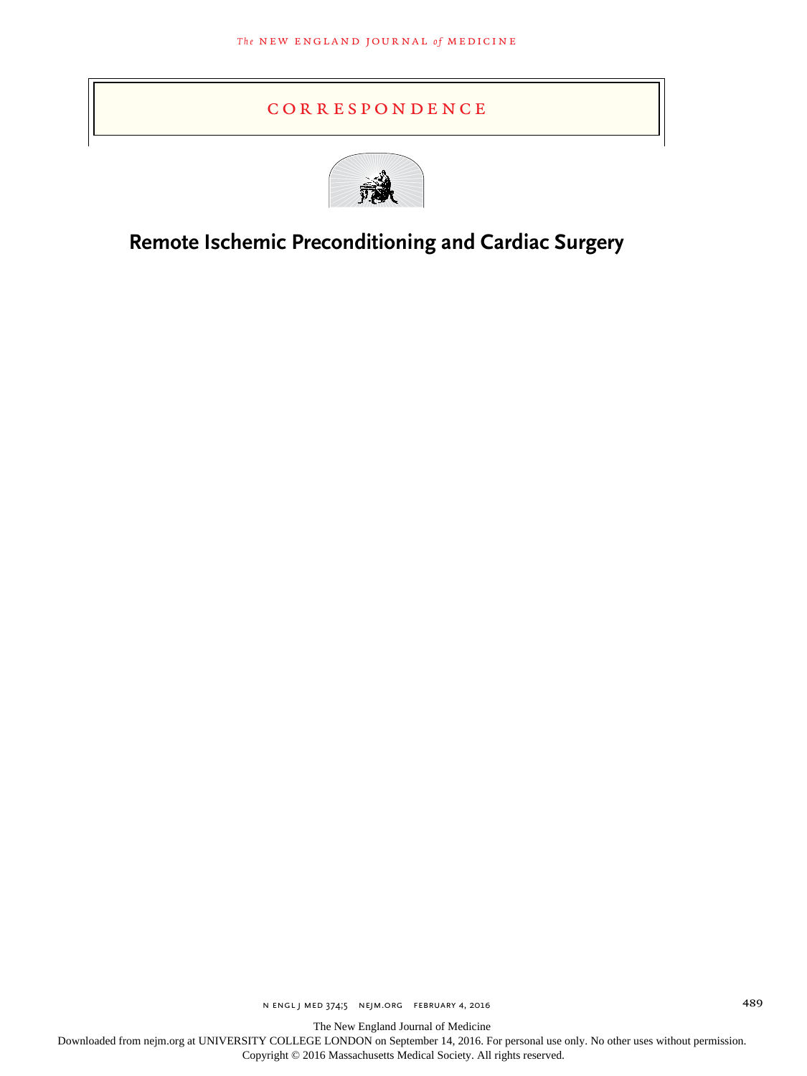## **CORRESPONDENCE**



**Remote Ischemic Preconditioning and Cardiac Surgery**

The New England Journal of Medicine

Downloaded from nejm.org at UNIVERSITY COLLEGE LONDON on September 14, 2016. For personal use only. No other uses without permission.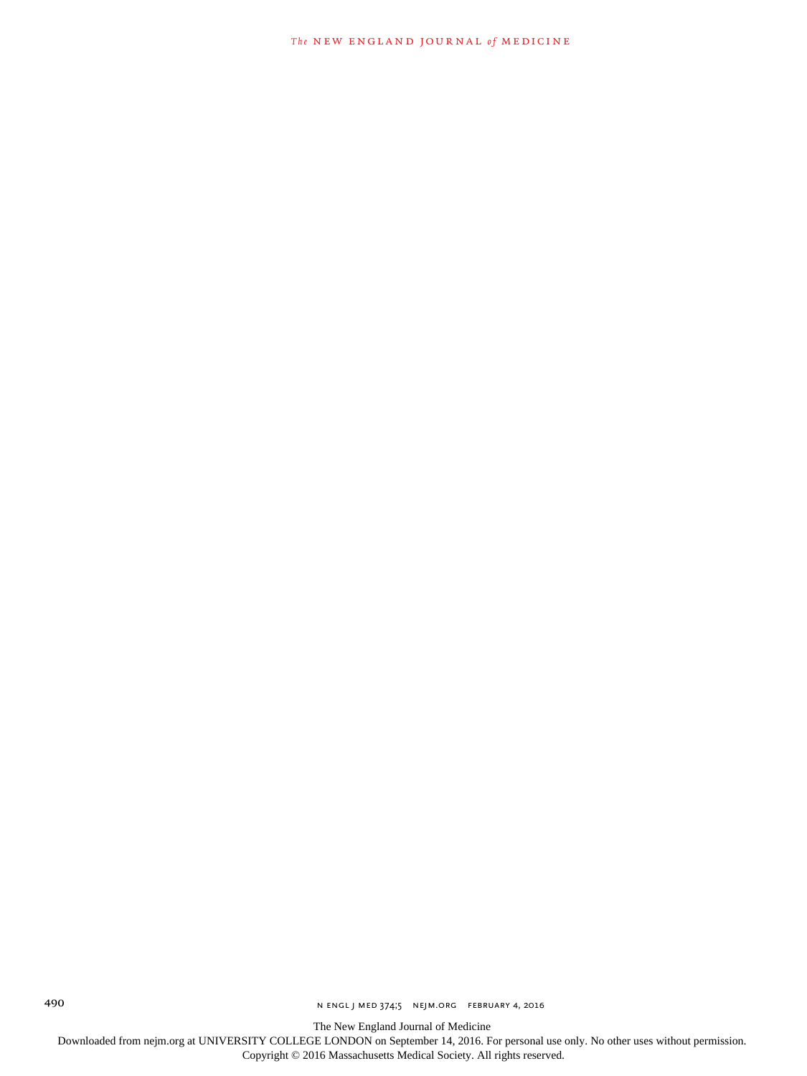## **The NEW ENGLAND JOURNAL of MEDICINE**

The New England Journal of Medicine

Downloaded from nejm.org at UNIVERSITY COLLEGE LONDON on September 14, 2016. For personal use only. No other uses without permission.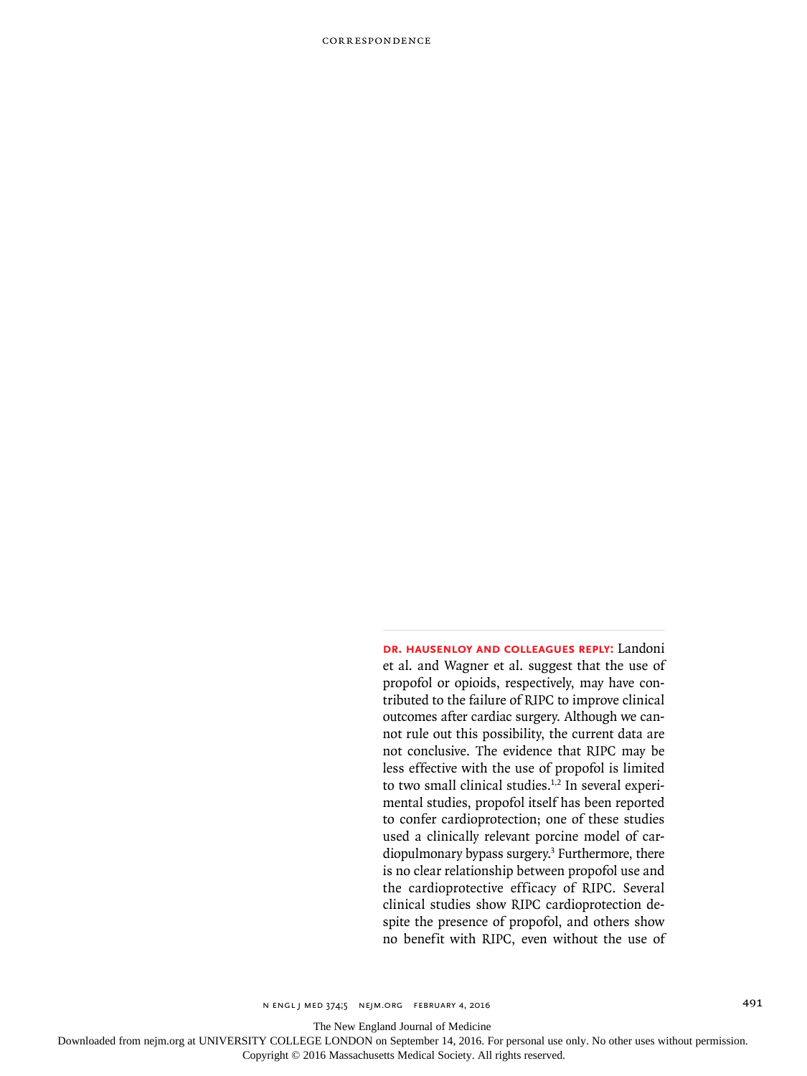**Dr. Hausenloy and colleagues reply:** Landoni et al. and Wagner et al. suggest that the use of propofol or opioids, respectively, may have contributed to the failure of RIPC to improve clinical outcomes after cardiac surgery. Although we cannot rule out this possibility, the current data are not conclusive. The evidence that RIPC may be less effective with the use of propofol is limited to two small clinical studies.<sup>1,2</sup> In several experimental studies, propofol itself has been reported to confer cardioprotection; one of these studies used a clinically relevant porcine model of cardiopulmonary bypass surgery.3 Furthermore, there is no clear relationship between propofol use and the cardioprotective efficacy of RIPC. Several clinical studies show RIPC cardioprotection despite the presence of propofol, and others show no benefit with RIPC, even without the use of

The New England Journal of Medicine

Downloaded from nejm.org at UNIVERSITY COLLEGE LONDON on September 14, 2016. For personal use only. No other uses without permission.